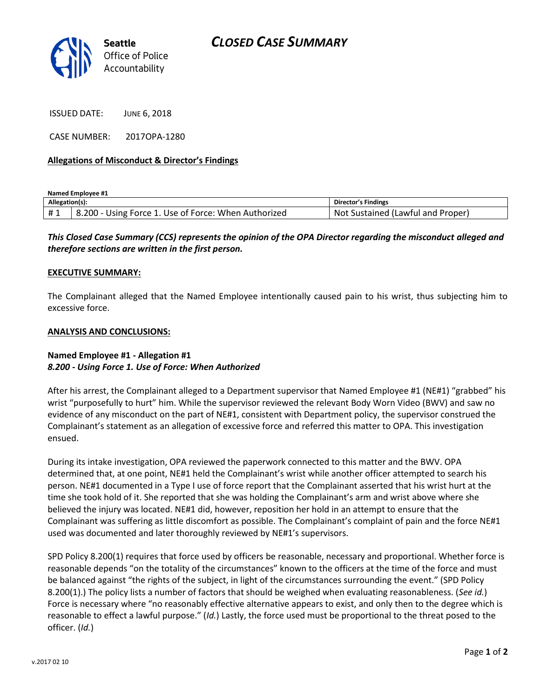

ISSUED DATE: JUNE 6, 2018

CASE NUMBER: 2017OPA-1280

### **Allegations of Misconduct & Director's Findings**

**Named Employee #1**

| Allegation(s): |                                                      | <b>Director's Findings</b>               |
|----------------|------------------------------------------------------|------------------------------------------|
| #1             | 8.200 - Using Force 1. Use of Force: When Authorized | : Sustained (Lawful and Proper)<br>. Not |

## *This Closed Case Summary (CCS) represents the opinion of the OPA Director regarding the misconduct alleged and therefore sections are written in the first person.*

#### **EXECUTIVE SUMMARY:**

The Complainant alleged that the Named Employee intentionally caused pain to his wrist, thus subjecting him to excessive force.

### **ANALYSIS AND CONCLUSIONS:**

## **Named Employee #1 - Allegation #1** *8.200 - Using Force 1. Use of Force: When Authorized*

After his arrest, the Complainant alleged to a Department supervisor that Named Employee #1 (NE#1) "grabbed" his wrist "purposefully to hurt" him. While the supervisor reviewed the relevant Body Worn Video (BWV) and saw no evidence of any misconduct on the part of NE#1, consistent with Department policy, the supervisor construed the Complainant's statement as an allegation of excessive force and referred this matter to OPA. This investigation ensued.

During its intake investigation, OPA reviewed the paperwork connected to this matter and the BWV. OPA determined that, at one point, NE#1 held the Complainant's wrist while another officer attempted to search his person. NE#1 documented in a Type I use of force report that the Complainant asserted that his wrist hurt at the time she took hold of it. She reported that she was holding the Complainant's arm and wrist above where she believed the injury was located. NE#1 did, however, reposition her hold in an attempt to ensure that the Complainant was suffering as little discomfort as possible. The Complainant's complaint of pain and the force NE#1 used was documented and later thoroughly reviewed by NE#1's supervisors.

SPD Policy 8.200(1) requires that force used by officers be reasonable, necessary and proportional. Whether force is reasonable depends "on the totality of the circumstances" known to the officers at the time of the force and must be balanced against "the rights of the subject, in light of the circumstances surrounding the event." (SPD Policy 8.200(1).) The policy lists a number of factors that should be weighed when evaluating reasonableness. (*See id.*) Force is necessary where "no reasonably effective alternative appears to exist, and only then to the degree which is reasonable to effect a lawful purpose." (*Id.*) Lastly, the force used must be proportional to the threat posed to the officer. (*Id.*)